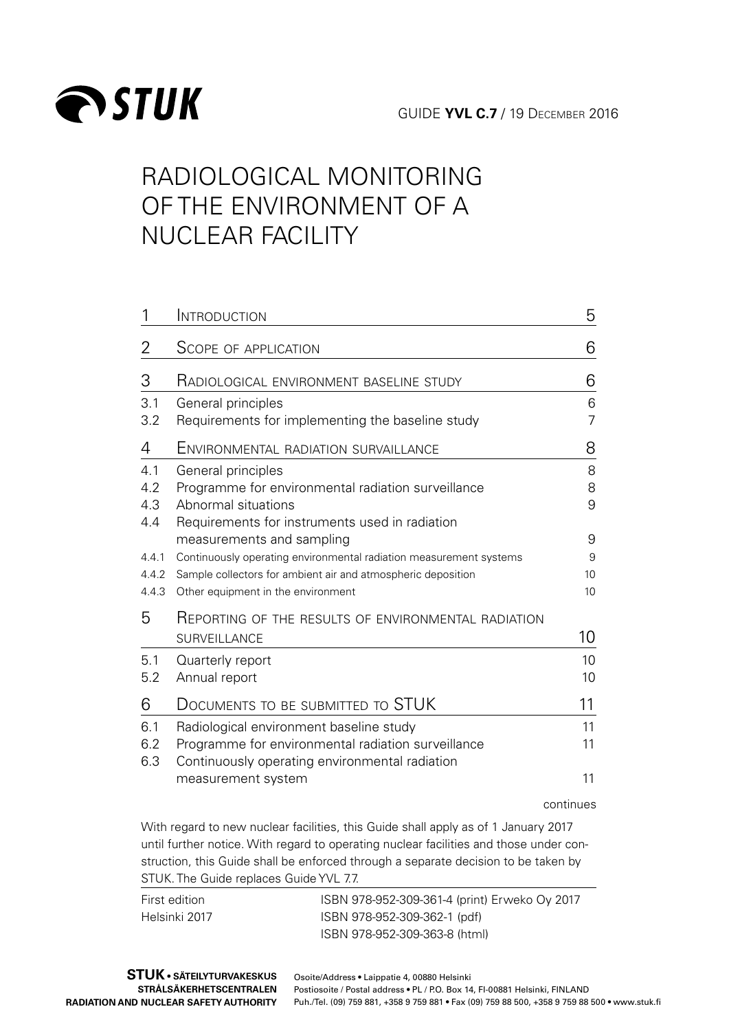

# RADIOLOGICAL MONITORING OF THE ENVIRONMENT OF A NUCLEAR FACILITY

| 1     | INTRODUCTION                                                       | 5              |
|-------|--------------------------------------------------------------------|----------------|
| 2     | SCOPE OF APPLICATION                                               | 6              |
| 3     | <b>RADIOLOGICAL ENVIRONMENT BASELINE STUDY</b>                     | 6              |
| 3.1   | General principles                                                 | 6              |
| 3.2   | Requirements for implementing the baseline study                   | $\overline{7}$ |
| 4     | ENVIRONMENTAL RADIATION SURVAILLANCE                               | 8              |
| 4.1   | General principles                                                 | 8              |
| 4.2   | Programme for environmental radiation surveillance                 | 8              |
| 4.3   | Abnormal situations                                                | 9              |
| 4.4   | Requirements for instruments used in radiation                     |                |
|       | measurements and sampling                                          | 9              |
| 4.4.1 | Continuously operating environmental radiation measurement systems | 9              |
| 4.4.2 | Sample collectors for ambient air and atmospheric deposition       | 10             |
| 4.4.3 | Other equipment in the environment                                 | 10             |
| 5     | REPORTING OF THE RESULTS OF ENVIRONMENTAL RADIATION                |                |
|       | SURVEILLANCE                                                       | 10             |
| 5.1   | Quarterly report                                                   | 10             |
| 5.2   | Annual report                                                      | 10             |
| 6     | DOCUMENTS TO BE SUBMITTED TO STUK                                  | 11             |
| 6.1   | Radiological environment baseline study                            | 11             |
| 6.2   | Programme for environmental radiation surveillance                 | 11             |
| 6.3   | Continuously operating environmental radiation                     |                |
|       | measurement system                                                 | 11             |
|       |                                                                    |                |

continues

With regard to new nuclear facilities, this Guide shall apply as of 1 January 2017 until further notice. With regard to operating nuclear facilities and those under construction, this Guide shall be enforced through a separate decision to be taken by STUK. The Guide replaces Guide YVL 7.7.

| First edition | ISBN 978-952-309-361-4 (print) Erweko Oy 2017 |
|---------------|-----------------------------------------------|
| Helsinki 2017 | ISBN 978-952-309-362-1 (pdf)                  |
|               | ISBN 978-952-309-363-8 (html)                 |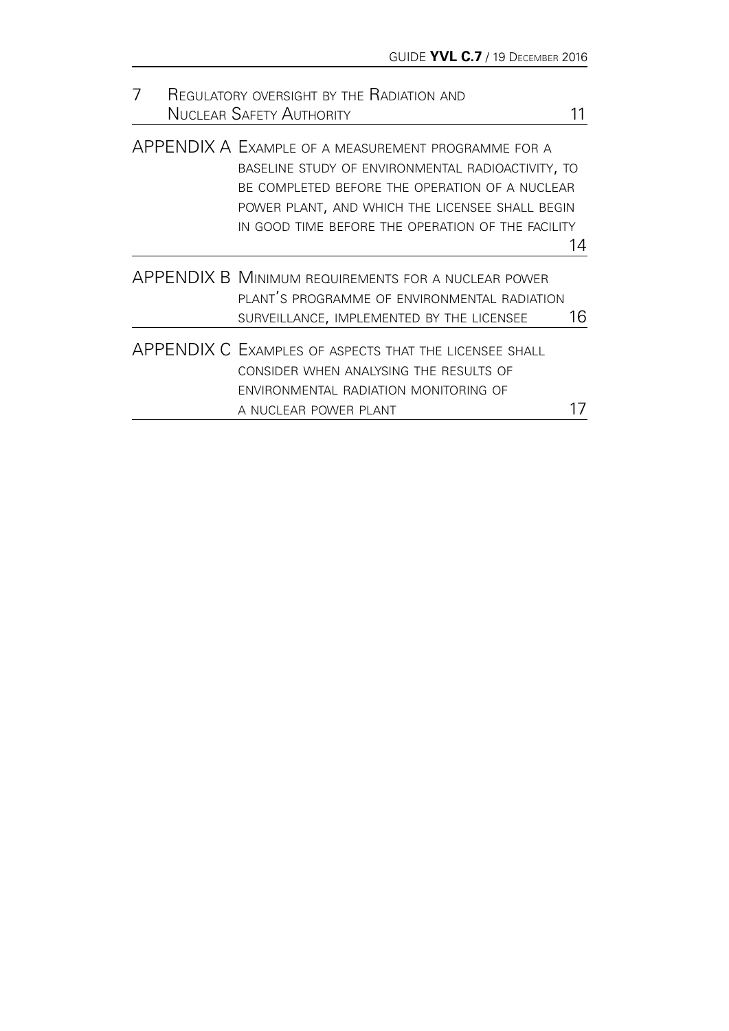| REGULATORY OVERSIGHT BY THE RADIATION AND |  |                                                                                                                                                                                                                                                                    |    |
|-------------------------------------------|--|--------------------------------------------------------------------------------------------------------------------------------------------------------------------------------------------------------------------------------------------------------------------|----|
|                                           |  | <b>NUCLEAR SAFETY AUTHORITY</b>                                                                                                                                                                                                                                    |    |
|                                           |  | APPENDIX A EXAMPLE OF A MEASUREMENT PROGRAMME FOR A<br>BASELINE STUDY OF ENVIRONMENTAL RADIOACTIVITY, TO<br>BE COMPLETED BEFORE THE OPERATION OF A NUCLEAR<br>POWER PLANT, AND WHICH THE LICENSEE SHALL BEGIN<br>IN GOOD TIME BEFORE THE OPERATION OF THE FACILITY |    |
|                                           |  |                                                                                                                                                                                                                                                                    | 14 |
|                                           |  | <b>APPENDIX B MINIMUM REQUIREMENTS FOR A NUCLEAR POWER</b><br>PLANT'S PROGRAMME OF ENVIRONMENTAL RADIATION<br>SURVEILLANCE, IMPLEMENTED BY THE LICENSEE                                                                                                            | 16 |
|                                           |  | APPENDIX C EXAMPLES OF ASPECTS THAT THE LICENSEE SHALL<br>CONSIDER WHEN ANALYSING THE RESULTS OF<br>ENVIRONMENTAL RADIATION MONITORING OF<br>A NUCLEAR POWER PLANT                                                                                                 |    |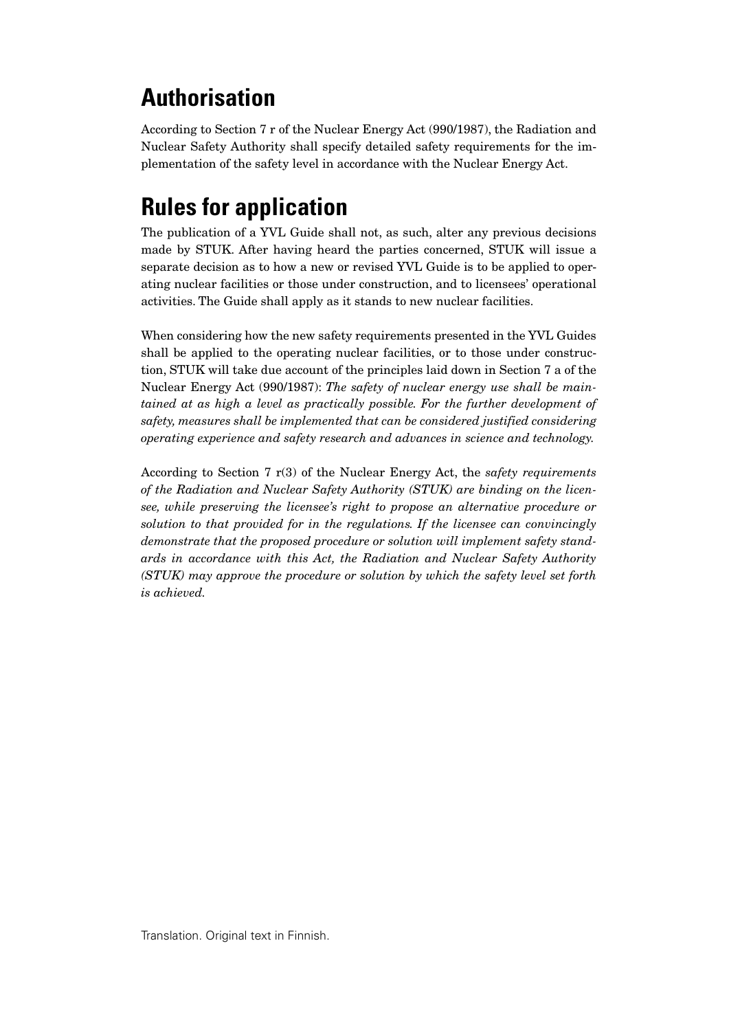# **Authorisation**

According to Section 7 r of the Nuclear Energy Act (990/1987), the Radiation and Nuclear Safety Authority shall specify detailed safety requirements for the implementation of the safety level in accordance with the Nuclear Energy Act.

# **Rules for application**

The publication of a YVL Guide shall not, as such, alter any previous decisions made by STUK. After having heard the parties concerned, STUK will issue a separate decision as to how a new or revised YVL Guide is to be applied to operating nuclear facilities or those under construction, and to licensees' operational activities. The Guide shall apply as it stands to new nuclear facilities.

When considering how the new safety requirements presented in the YVL Guides shall be applied to the operating nuclear facilities, or to those under construction, STUK will take due account of the principles laid down in Section 7 a of the Nuclear Energy Act (990/1987): *The safety of nuclear energy use shall be maintained at as high a level as practically possible. For the further development of safety, measures shall be implemented that can be considered justified considering operating experience and safety research and advances in science and technology.*

According to Section 7 r(3) of the Nuclear Energy Act, the *safety requirements of the Radiation and Nuclear Safety Authority (STUK) are binding on the licensee, while preserving the licensee's right to propose an alternative procedure or solution to that provided for in the regulations. If the licensee can convincingly demonstrate that the proposed procedure or solution will implement safety standards in accordance with this Act, the Radiation and Nuclear Safety Authority (STUK) may approve the procedure or solution by which the safety level set forth is achieved.*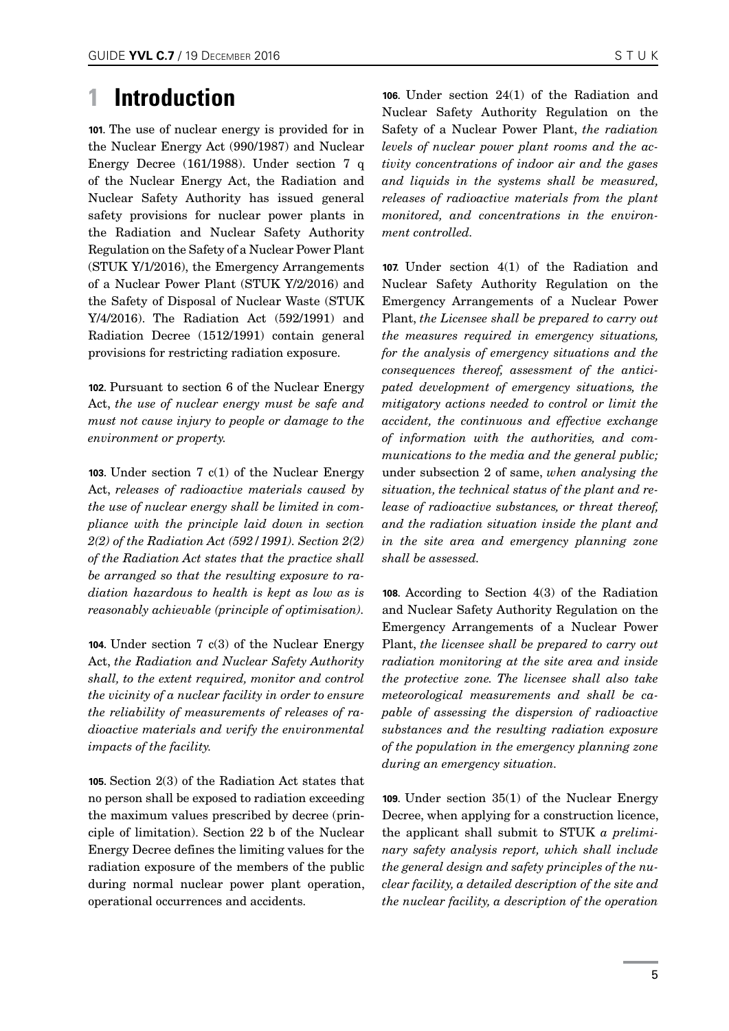### <span id="page-4-0"></span>**1 Introduction**

**101.** The use of nuclear energy is provided for in the Nuclear Energy Act (990/1987) and Nuclear Energy Decree (161/1988). Under section 7 q of the Nuclear Energy Act, the Radiation and Nuclear Safety Authority has issued general safety provisions for nuclear power plants in the Radiation and Nuclear Safety Authority Regulation on the Safety of a Nuclear Power Plant (STUK Y/1/2016), the Emergency Arrangements of a Nuclear Power Plant (STUK Y/2/2016) and the Safety of Disposal of Nuclear Waste (STUK Y/4/2016). The Radiation Act (592/1991) and Radiation Decree (1512/1991) contain general provisions for restricting radiation exposure.

**102.** Pursuant to section 6 of the Nuclear Energy Act, *the use of nuclear energy must be safe and must not cause injury to people or damage to the environment or property.*

**103.** Under section 7 c(1) of the Nuclear Energy Act, *releases of radioactive materials caused by the use of nuclear energy shall be limited in compliance with the principle laid down in section 2(2) of the Radiation Act (592/1991). Section 2(2) of the Radiation Act states that the practice shall be arranged so that the resulting exposure to radiation hazardous to health is kept as low as is reasonably achievable (principle of optimisation).*

**104.** Under section 7 c(3) of the Nuclear Energy Act, *the Radiation and Nuclear Safety Authority shall, to the extent required, monitor and control the vicinity of a nuclear facility in order to ensure the reliability of measurements of releases of radioactive materials and verify the environmental impacts of the facility.*

**105.** Section 2(3) of the Radiation Act states that no person shall be exposed to radiation exceeding the maximum values prescribed by decree (principle of limitation). Section 22 b of the Nuclear Energy Decree defines the limiting values for the radiation exposure of the members of the public during normal nuclear power plant operation, operational occurrences and accidents.

**106.** Under section 24(1) of the Radiation and Nuclear Safety Authority Regulation on the Safety of a Nuclear Power Plant, *the radiation levels of nuclear power plant rooms and the activity concentrations of indoor air and the gases and liquids in the systems shall be measured, releases of radioactive materials from the plant monitored, and concentrations in the environment controlled.*

**107.** Under section 4(1) of the Radiation and Nuclear Safety Authority Regulation on the Emergency Arrangements of a Nuclear Power Plant, *the Licensee shall be prepared to carry out the measures required in emergency situations, for the analysis of emergency situations and the consequences thereof, assessment of the anticipated development of emergency situations, the mitigatory actions needed to control or limit the accident, the continuous and effective exchange of information with the authorities, and communications to the media and the general public;* under subsection 2 of same, *when analysing the situation, the technical status of the plant and release of radioactive substances, or threat thereof, and the radiation situation inside the plant and in the site area and emergency planning zone shall be assessed.*

**108.** According to Section 4(3) of the Radiation and Nuclear Safety Authority Regulation on the Emergency Arrangements of a Nuclear Power Plant, *the licensee shall be prepared to carry out radiation monitoring at the site area and inside the protective zone. The licensee shall also take meteorological measurements and shall be capable of assessing the dispersion of radioactive substances and the resulting radiation exposure of the population in the emergency planning zone during an emergency situation.*

**109.** Under section 35(1) of the Nuclear Energy Decree, when applying for a construction licence, the applicant shall submit to STUK *a preliminary safety analysis report, which shall include the general design and safety principles of the nuclear facility, a detailed description of the site and the nuclear facility, a description of the operation*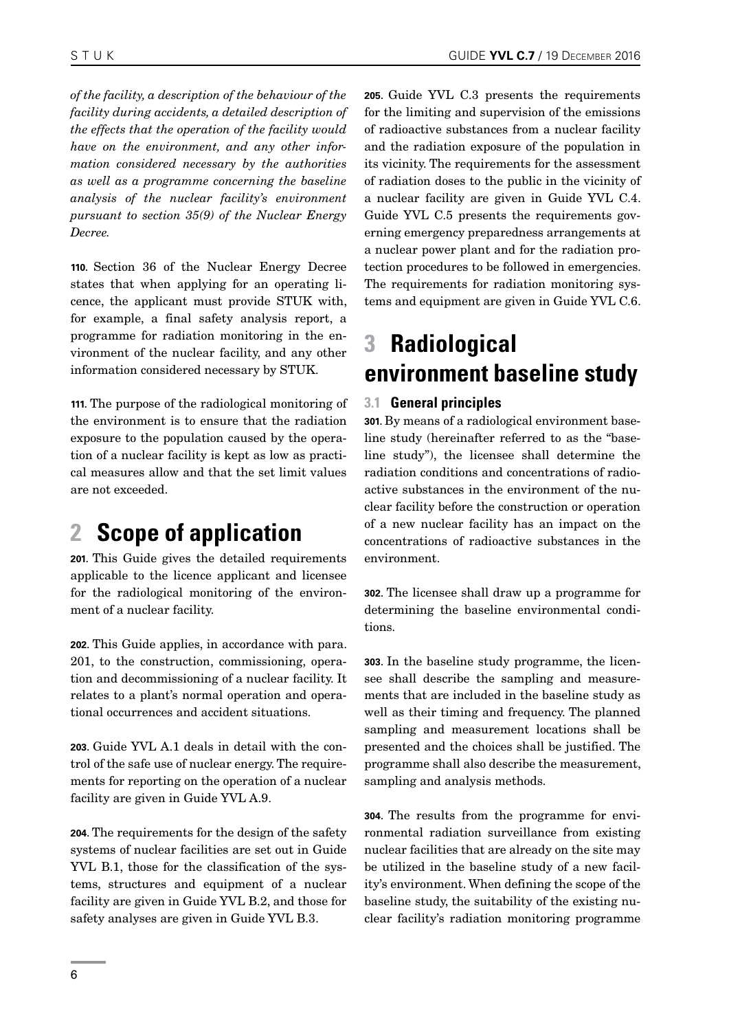<span id="page-5-0"></span>*of the facility, a description of the behaviour of the facility during accidents, a detailed description of the effects that the operation of the facility would have on the environment, and any other information considered necessary by the authorities as well as a programme concerning the baseline analysis of the nuclear facility's environment pursuant to section 35(9) of the Nuclear Energy Decree.*

**110.** Section 36 of the Nuclear Energy Decree states that when applying for an operating licence, the applicant must provide STUK with, for example, a final safety analysis report, a programme for radiation monitoring in the environment of the nuclear facility, and any other information considered necessary by STUK.

**111.** The purpose of the radiological monitoring of the environment is to ensure that the radiation exposure to the population caused by the operation of a nuclear facility is kept as low as practical measures allow and that the set limit values are not exceeded.

# **2 Scope of application**

**201.** This Guide gives the detailed requirements applicable to the licence applicant and licensee for the radiological monitoring of the environment of a nuclear facility.

**202.** This Guide applies, in accordance with para. 201, to the construction, commissioning, operation and decommissioning of a nuclear facility. It relates to a plant's normal operation and operational occurrences and accident situations.

**203.** Guide YVL A.1 deals in detail with the control of the safe use of nuclear energy. The requirements for reporting on the operation of a nuclear facility are given in Guide YVL A.9.

**204.** The requirements for the design of the safety systems of nuclear facilities are set out in Guide YVL B.1, those for the classification of the systems, structures and equipment of a nuclear facility are given in Guide YVL B.2, and those for safety analyses are given in Guide YVL B.3.

**205.** Guide YVL C.3 presents the requirements for the limiting and supervision of the emissions of radioactive substances from a nuclear facility and the radiation exposure of the population in its vicinity. The requirements for the assessment of radiation doses to the public in the vicinity of a nuclear facility are given in Guide YVL C.4. Guide YVL C.5 presents the requirements governing emergency preparedness arrangements at a nuclear power plant and for the radiation protection procedures to be followed in emergencies. The requirements for radiation monitoring systems and equipment are given in Guide YVL C.6.

# **3 Radiological environment baseline study**

### **3.1 General principles**

**301.** By means of a radiological environment baseline study (hereinafter referred to as the "baseline study"), the licensee shall determine the radiation conditions and concentrations of radioactive substances in the environment of the nuclear facility before the construction or operation of a new nuclear facility has an impact on the concentrations of radioactive substances in the environment.

**302.** The licensee shall draw up a programme for determining the baseline environmental conditions.

**303.** In the baseline study programme, the licensee shall describe the sampling and measurements that are included in the baseline study as well as their timing and frequency. The planned sampling and measurement locations shall be presented and the choices shall be justified. The programme shall also describe the measurement, sampling and analysis methods.

**304.** The results from the programme for environmental radiation surveillance from existing nuclear facilities that are already on the site may be utilized in the baseline study of a new facility's environment. When defining the scope of the baseline study, the suitability of the existing nuclear facility's radiation monitoring programme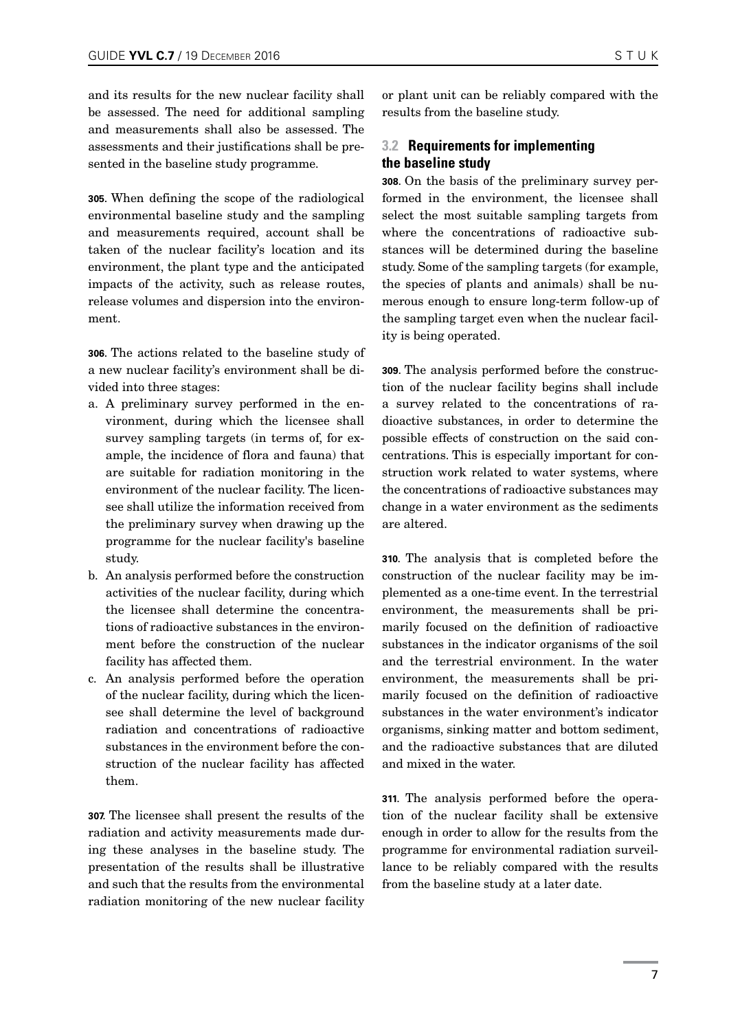<span id="page-6-0"></span>and its results for the new nuclear facility shall be assessed. The need for additional sampling and measurements shall also be assessed. The assessments and their justifications shall be presented in the baseline study programme.

**305.** When defining the scope of the radiological environmental baseline study and the sampling and measurements required, account shall be taken of the nuclear facility's location and its environment, the plant type and the anticipated impacts of the activity, such as release routes, release volumes and dispersion into the environment.

**306.** The actions related to the baseline study of a new nuclear facility's environment shall be divided into three stages:

- a. A preliminary survey performed in the environment, during which the licensee shall survey sampling targets (in terms of, for example, the incidence of flora and fauna) that are suitable for radiation monitoring in the environment of the nuclear facility. The licensee shall utilize the information received from the preliminary survey when drawing up the programme for the nuclear facility's baseline study.
- b. An analysis performed before the construction activities of the nuclear facility, during which the licensee shall determine the concentrations of radioactive substances in the environment before the construction of the nuclear facility has affected them.
- c. An analysis performed before the operation of the nuclear facility, during which the licensee shall determine the level of background radiation and concentrations of radioactive substances in the environment before the construction of the nuclear facility has affected them.

**307.** The licensee shall present the results of the radiation and activity measurements made during these analyses in the baseline study. The presentation of the results shall be illustrative and such that the results from the environmental radiation monitoring of the new nuclear facility or plant unit can be reliably compared with the results from the baseline study.

### **3.2 Requirements for implementing the baseline study**

**308.** On the basis of the preliminary survey performed in the environment, the licensee shall select the most suitable sampling targets from where the concentrations of radioactive substances will be determined during the baseline study. Some of the sampling targets (for example, the species of plants and animals) shall be numerous enough to ensure long-term follow-up of the sampling target even when the nuclear facility is being operated.

**309.** The analysis performed before the construction of the nuclear facility begins shall include a survey related to the concentrations of radioactive substances, in order to determine the possible effects of construction on the said concentrations. This is especially important for construction work related to water systems, where the concentrations of radioactive substances may change in a water environment as the sediments are altered.

**310.** The analysis that is completed before the construction of the nuclear facility may be implemented as a one-time event. In the terrestrial environment, the measurements shall be primarily focused on the definition of radioactive substances in the indicator organisms of the soil and the terrestrial environment. In the water environment, the measurements shall be primarily focused on the definition of radioactive substances in the water environment's indicator organisms, sinking matter and bottom sediment, and the radioactive substances that are diluted and mixed in the water.

**311.** The analysis performed before the operation of the nuclear facility shall be extensive enough in order to allow for the results from the programme for environmental radiation surveillance to be reliably compared with the results from the baseline study at a later date.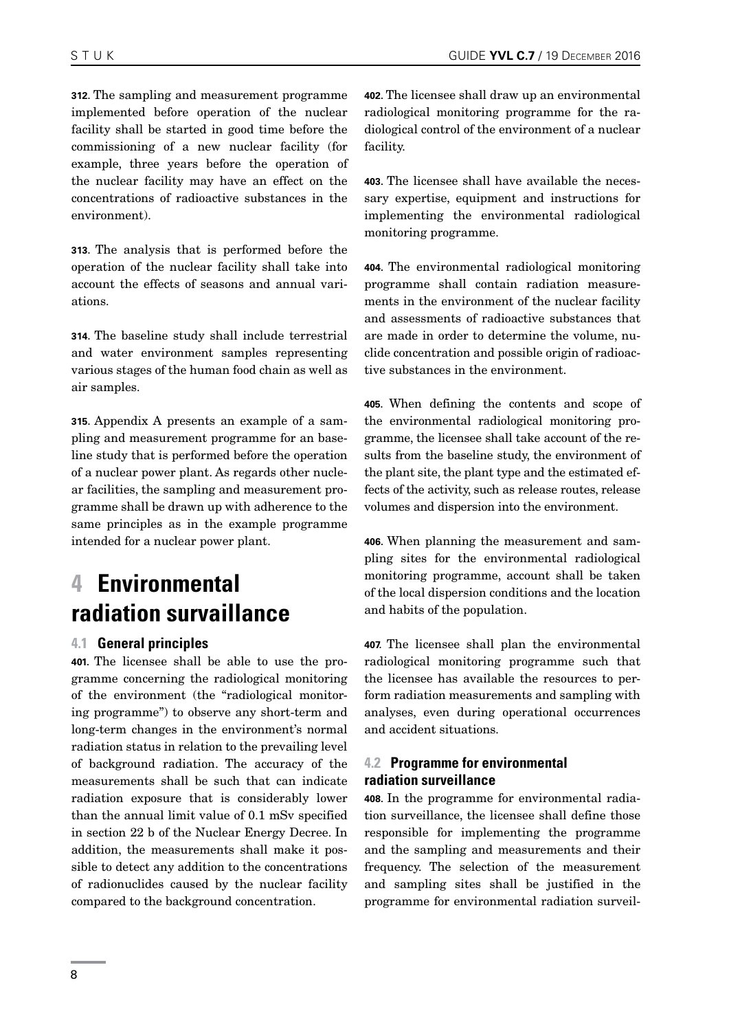<span id="page-7-0"></span>**312.** The sampling and measurement programme implemented before operation of the nuclear facility shall be started in good time before the commissioning of a new nuclear facility (for example, three years before the operation of the nuclear facility may have an effect on the concentrations of radioactive substances in the environment).

**313.** The analysis that is performed before the operation of the nuclear facility shall take into account the effects of seasons and annual variations.

**314.** The baseline study shall include terrestrial and water environment samples representing various stages of the human food chain as well as air samples.

**315.** Appendix A presents an example of a sampling and measurement programme for an baseline study that is performed before the operation of a nuclear power plant. As regards other nuclear facilities, the sampling and measurement programme shall be drawn up with adherence to the same principles as in the example programme intended for a nuclear power plant.

# **4 Environmental radiation survaillance**

### **4.1 General principles**

**401.** The licensee shall be able to use the programme concerning the radiological monitoring of the environment (the "radiological monitoring programme") to observe any short-term and long-term changes in the environment's normal radiation status in relation to the prevailing level of background radiation. The accuracy of the measurements shall be such that can indicate radiation exposure that is considerably lower than the annual limit value of 0.1 mSv specified in section 22 b of the Nuclear Energy Decree. In addition, the measurements shall make it possible to detect any addition to the concentrations of radionuclides caused by the nuclear facility compared to the background concentration.

**402.** The licensee shall draw up an environmental radiological monitoring programme for the radiological control of the environment of a nuclear facility.

**403.** The licensee shall have available the necessary expertise, equipment and instructions for implementing the environmental radiological monitoring programme.

**404.** The environmental radiological monitoring programme shall contain radiation measurements in the environment of the nuclear facility and assessments of radioactive substances that are made in order to determine the volume, nuclide concentration and possible origin of radioactive substances in the environment.

**405.** When defining the contents and scope of the environmental radiological monitoring programme, the licensee shall take account of the results from the baseline study, the environment of the plant site, the plant type and the estimated effects of the activity, such as release routes, release volumes and dispersion into the environment.

**406.** When planning the measurement and sampling sites for the environmental radiological monitoring programme, account shall be taken of the local dispersion conditions and the location and habits of the population.

**407.** The licensee shall plan the environmental radiological monitoring programme such that the licensee has available the resources to perform radiation measurements and sampling with analyses, even during operational occurrences and accident situations.

### **4.2 Programme for environmental radiation surveillance**

**408.** In the programme for environmental radiation surveillance, the licensee shall define those responsible for implementing the programme and the sampling and measurements and their frequency. The selection of the measurement and sampling sites shall be justified in the programme for environmental radiation surveil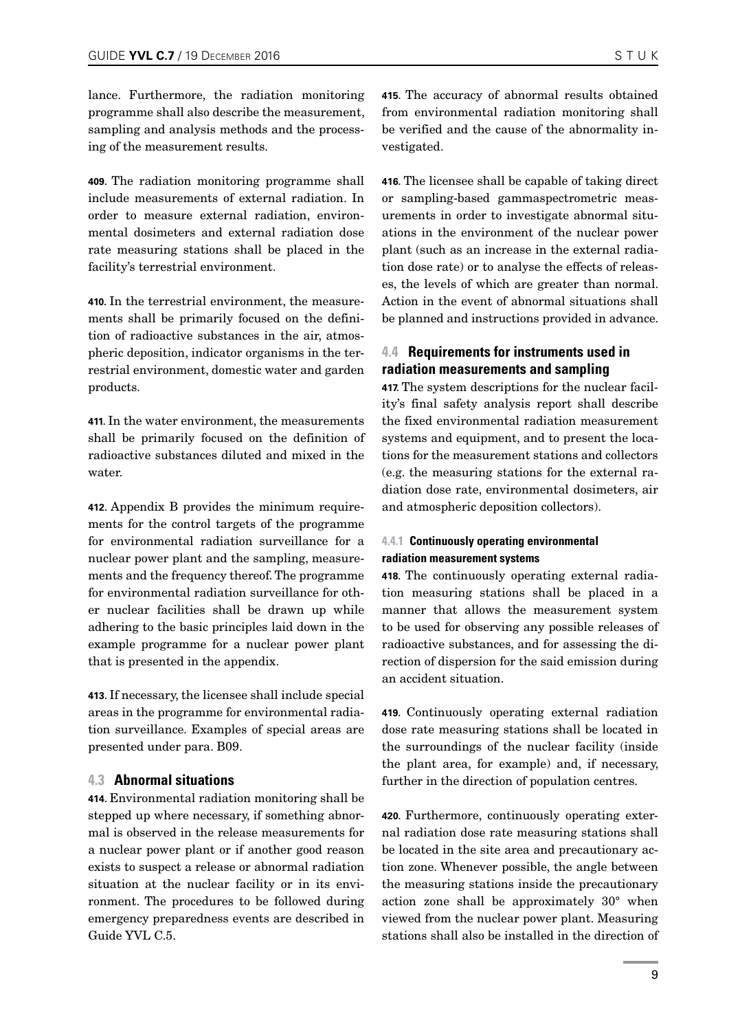<span id="page-8-0"></span>lance. Furthermore, the radiation monitoring programme shall also describe the measurement, sampling and analysis methods and the processing of the measurement results.

**409.** The radiation monitoring programme shall include measurements of external radiation. In order to measure external radiation, environmental dosimeters and external radiation dose rate measuring stations shall be placed in the facility's terrestrial environment.

**410.** In the terrestrial environment, the measurements shall be primarily focused on the definition of radioactive substances in the air, atmospheric deposition, indicator organisms in the terrestrial environment, domestic water and garden products.

**411.** In the water environment, the measurements shall be primarily focused on the definition of radioactive substances diluted and mixed in the water.

**412.** Appendix B provides the minimum requirements for the control targets of the programme for environmental radiation surveillance for a nuclear power plant and the sampling, measurements and the frequency thereof. The programme for environmental radiation surveillance for other nuclear facilities shall be drawn up while adhering to the basic principles laid down in the example programme for a nuclear power plant that is presented in the appendix.

**413.** If necessary, the licensee shall include special areas in the programme for environmental radiation surveillance. Examples of special areas are presented under para. B09.

#### **4.3 Abnormal situations**

**414.** Environmental radiation monitoring shall be stepped up where necessary, if something abnormal is observed in the release measurements for a nuclear power plant or if another good reason exists to suspect a release or abnormal radiation situation at the nuclear facility or in its environment. The procedures to be followed during emergency preparedness events are described in Guide YVL C.5.

**415.** The accuracy of abnormal results obtained from environmental radiation monitoring shall be verified and the cause of the abnormality investigated.

**416.** The licensee shall be capable of taking direct or sampling-based gammaspectrometric measurements in order to investigate abnormal situations in the environment of the nuclear power plant (such as an increase in the external radiation dose rate) or to analyse the effects of releases, the levels of which are greater than normal. Action in the event of abnormal situations shall be planned and instructions provided in advance.

### **4.4 Requirements for instruments used in radiation measurements and sampling**

**417.** The system descriptions for the nuclear facility's final safety analysis report shall describe the fixed environmental radiation measurement systems and equipment, and to present the locations for the measurement stations and collectors (e.g. the measuring stations for the external radiation dose rate, environmental dosimeters, air and atmospheric deposition collectors).

### **4.4.1 Continuously operating environmental radiation measurement systems**

**418.** The continuously operating external radiation measuring stations shall be placed in a manner that allows the measurement system to be used for observing any possible releases of radioactive substances, and for assessing the direction of dispersion for the said emission during an accident situation.

**419.** Continuously operating external radiation dose rate measuring stations shall be located in the surroundings of the nuclear facility (inside the plant area, for example) and, if necessary, further in the direction of population centres.

**420.** Furthermore, continuously operating external radiation dose rate measuring stations shall be located in the site area and precautionary action zone. Whenever possible, the angle between the measuring stations inside the precautionary action zone shall be approximately 30° when viewed from the nuclear power plant. Measuring stations shall also be installed in the direction of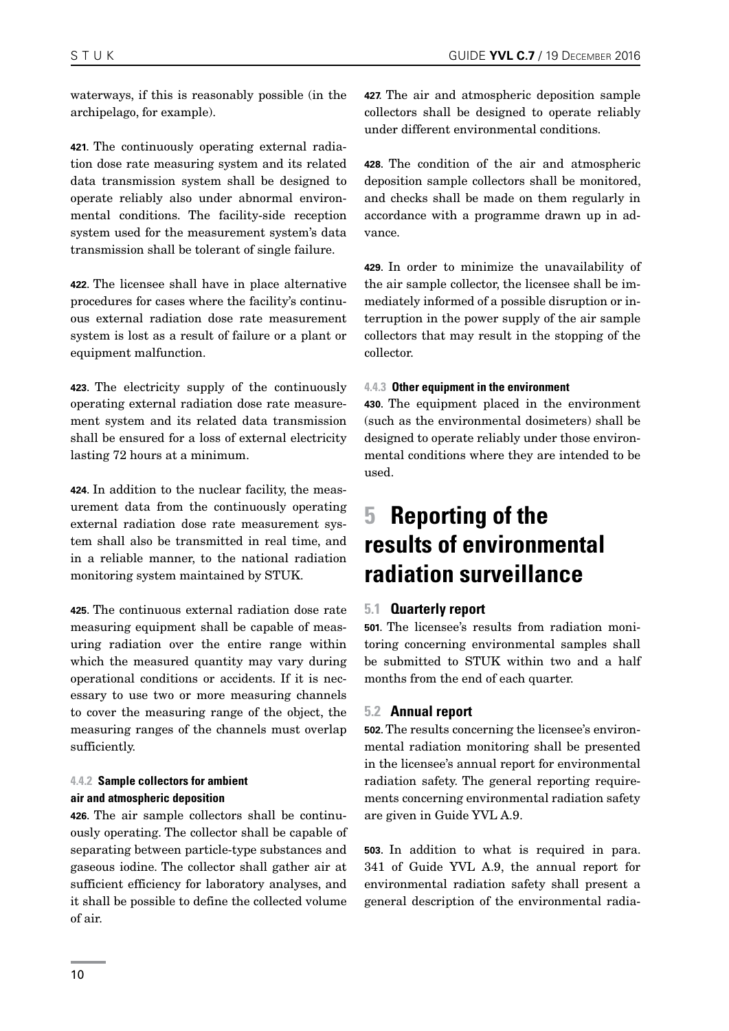<span id="page-9-0"></span>waterways, if this is reasonably possible (in the archipelago, for example).

**421.** The continuously operating external radiation dose rate measuring system and its related data transmission system shall be designed to operate reliably also under abnormal environmental conditions. The facility-side reception system used for the measurement system's data transmission shall be tolerant of single failure.

**422.** The licensee shall have in place alternative procedures for cases where the facility's continuous external radiation dose rate measurement system is lost as a result of failure or a plant or equipment malfunction.

**423.** The electricity supply of the continuously operating external radiation dose rate measurement system and its related data transmission shall be ensured for a loss of external electricity lasting 72 hours at a minimum.

**424.** In addition to the nuclear facility, the measurement data from the continuously operating external radiation dose rate measurement system shall also be transmitted in real time, and in a reliable manner, to the national radiation monitoring system maintained by STUK.

**425.** The continuous external radiation dose rate measuring equipment shall be capable of measuring radiation over the entire range within which the measured quantity may vary during operational conditions or accidents. If it is necessary to use two or more measuring channels to cover the measuring range of the object, the measuring ranges of the channels must overlap sufficiently.

### **4.4.2 Sample collectors for ambient air and atmospheric deposition**

**426.** The air sample collectors shall be continuously operating. The collector shall be capable of separating between particle-type substances and gaseous iodine. The collector shall gather air at sufficient efficiency for laboratory analyses, and it shall be possible to define the collected volume of air.

**427.** The air and atmospheric deposition sample collectors shall be designed to operate reliably under different environmental conditions.

**428.** The condition of the air and atmospheric deposition sample collectors shall be monitored, and checks shall be made on them regularly in accordance with a programme drawn up in advance.

**429.** In order to minimize the unavailability of the air sample collector, the licensee shall be immediately informed of a possible disruption or interruption in the power supply of the air sample collectors that may result in the stopping of the collector.

### **4.4.3 Other equipment in the environment**

**430.** The equipment placed in the environment (such as the environmental dosimeters) shall be designed to operate reliably under those environmental conditions where they are intended to be used.

# **5 Reporting of the results of environmental radiation surveillance**

### **5.1 Quarterly report**

**501.** The licensee's results from radiation monitoring concerning environmental samples shall be submitted to STUK within two and a half months from the end of each quarter.

### **5.2 Annual report**

**502.** The results concerning the licensee's environmental radiation monitoring shall be presented in the licensee's annual report for environmental radiation safety. The general reporting requirements concerning environmental radiation safety are given in Guide YVL A.9.

**503.** In addition to what is required in para. 341 of Guide YVL A.9, the annual report for environmental radiation safety shall present a general description of the environmental radia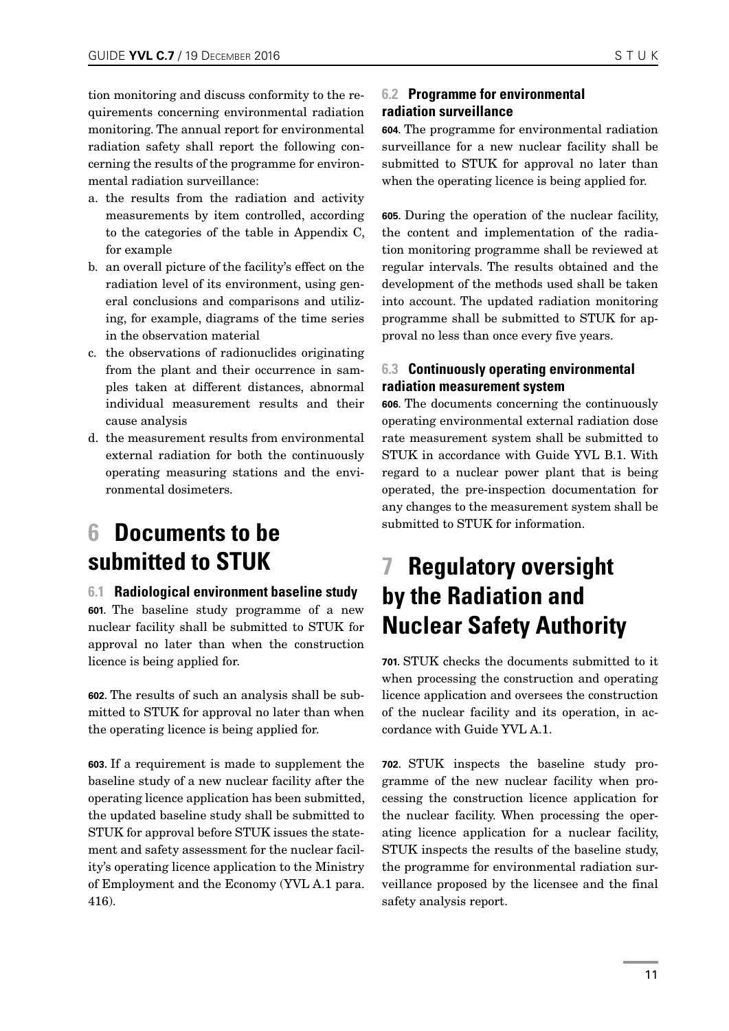<span id="page-10-0"></span>tion monitoring and discuss conformity to the requirements concerning environmental radiation monitoring. The annual report for environmental radiation safety shall report the following concerning the results of the programme for environmental radiation surveillance:

- a. the results from the radiation and activity measurements by item controlled, according to the categories of the table in Appendix C, for example
- b. an overall picture of the facility's effect on the radiation level of its environment, using general conclusions and comparisons and utilizing, for example, diagrams of the time series in the observation material
- c. the observations of radionuclides originating from the plant and their occurrence in samples taken at different distances, abnormal individual measurement results and their cause analysis
- d. the measurement results from environmental external radiation for both the continuously operating measuring stations and the environmental dosimeters.

# **6 Documents to be submitted to STUK**

### **6.1 Radiological environment baseline study**

**601.** The baseline study programme of a new nuclear facility shall be submitted to STUK for approval no later than when the construction licence is being applied for.

**602.** The results of such an analysis shall be submitted to STUK for approval no later than when the operating licence is being applied for.

**603.** If a requirement is made to supplement the baseline study of a new nuclear facility after the operating licence application has been submitted, the updated baseline study shall be submitted to STUK for approval before STUK issues the statement and safety assessment for the nuclear facility's operating licence application to the Ministry of Employment and the Economy (YVL A.1 para. 416).

### **6.2 Programme for environmental radiation surveillance**

**604.** The programme for environmental radiation surveillance for a new nuclear facility shall be submitted to STUK for approval no later than when the operating licence is being applied for.

**605.** During the operation of the nuclear facility, the content and implementation of the radiation monitoring programme shall be reviewed at regular intervals. The results obtained and the development of the methods used shall be taken into account. The updated radiation monitoring programme shall be submitted to STUK for approval no less than once every five years.

### **6.3 Continuously operating environmental radiation measurement system**

**606.** The documents concerning the continuously operating environmental external radiation dose rate measurement system shall be submitted to STUK in accordance with Guide YVL B.1. With regard to a nuclear power plant that is being operated, the pre-inspection documentation for any changes to the measurement system shall be submitted to STUK for information.

### **7 Regulatory oversight by the Radiation and Nuclear Safety Authority**

**701.** STUK checks the documents submitted to it when processing the construction and operating licence application and oversees the construction of the nuclear facility and its operation, in accordance with Guide YVL A.1.

**702.** STUK inspects the baseline study programme of the new nuclear facility when processing the construction licence application for the nuclear facility. When processing the operating licence application for a nuclear facility, STUK inspects the results of the baseline study, the programme for environmental radiation surveillance proposed by the licensee and the final safety analysis report.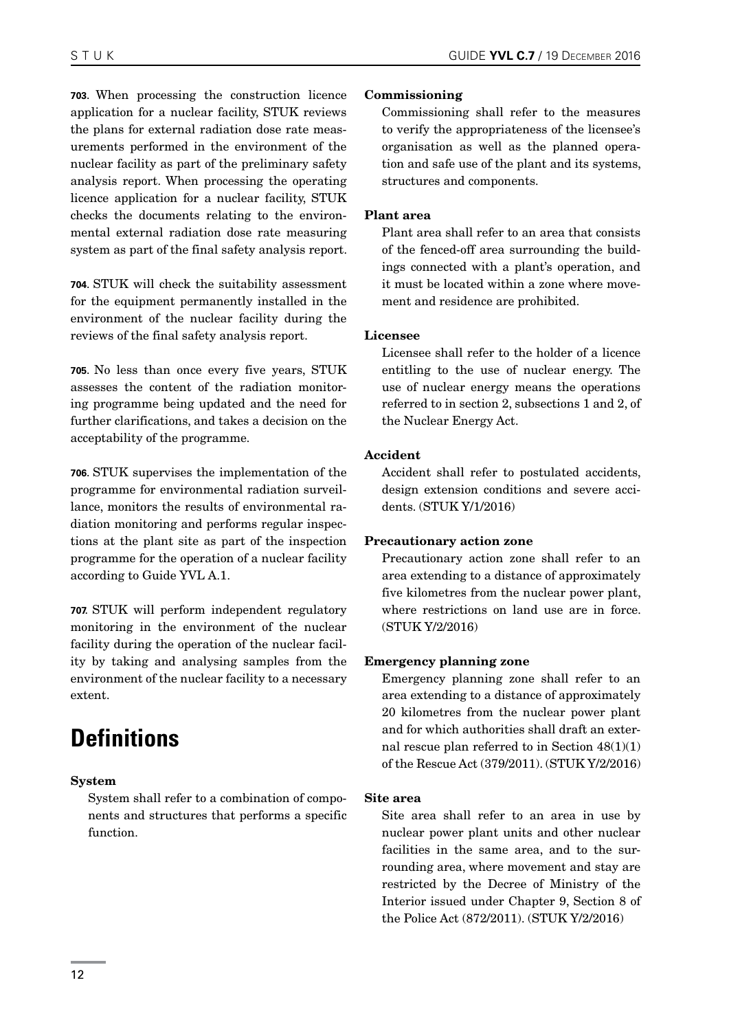**703.** When processing the construction licence application for a nuclear facility, STUK reviews the plans for external radiation dose rate measurements performed in the environment of the nuclear facility as part of the preliminary safety analysis report. When processing the operating licence application for a nuclear facility, STUK checks the documents relating to the environmental external radiation dose rate measuring system as part of the final safety analysis report.

**704.** STUK will check the suitability assessment for the equipment permanently installed in the environment of the nuclear facility during the reviews of the final safety analysis report.

**705.** No less than once every five years, STUK assesses the content of the radiation monitoring programme being updated and the need for further clarifications, and takes a decision on the acceptability of the programme.

**706.** STUK supervises the implementation of the programme for environmental radiation surveillance, monitors the results of environmental radiation monitoring and performs regular inspections at the plant site as part of the inspection programme for the operation of a nuclear facility according to Guide YVL A.1.

**707.** STUK will perform independent regulatory monitoring in the environment of the nuclear facility during the operation of the nuclear facility by taking and analysing samples from the environment of the nuclear facility to a necessary extent.

# **Definitions**

#### System

System shall refer to a combination of components and structures that performs a specific function.

#### Commissioning

Commissioning shall refer to the measures to verify the appropriateness of the licensee's organisation as well as the planned operation and safe use of the plant and its systems, structures and components.

#### Plant area

Plant area shall refer to an area that consists of the fenced-off area surrounding the buildings connected with a plant's operation, and it must be located within a zone where movement and residence are prohibited.

#### Licensee

Licensee shall refer to the holder of a licence entitling to the use of nuclear energy. The use of nuclear energy means the operations referred to in section 2, subsections 1 and 2, of the Nuclear Energy Act.

#### Accident

Accident shall refer to postulated accidents, design extension conditions and severe accidents. (STUK Y/1/2016)

#### Precautionary action zone

Precautionary action zone shall refer to an area extending to a distance of approximately five kilometres from the nuclear power plant, where restrictions on land use are in force. (STUK Y/2/2016)

#### Emergency planning zone

Emergency planning zone shall refer to an area extending to a distance of approximately 20 kilometres from the nuclear power plant and for which authorities shall draft an external rescue plan referred to in Section  $48(1)(1)$ of the Rescue Act (379/2011). (STUK Y/2/2016)

#### Site area

Site area shall refer to an area in use by nuclear power plant units and other nuclear facilities in the same area, and to the surrounding area, where movement and stay are restricted by the Decree of Ministry of the Interior issued under Chapter 9, Section 8 of the Police Act (872/2011). (STUK Y/2/2016)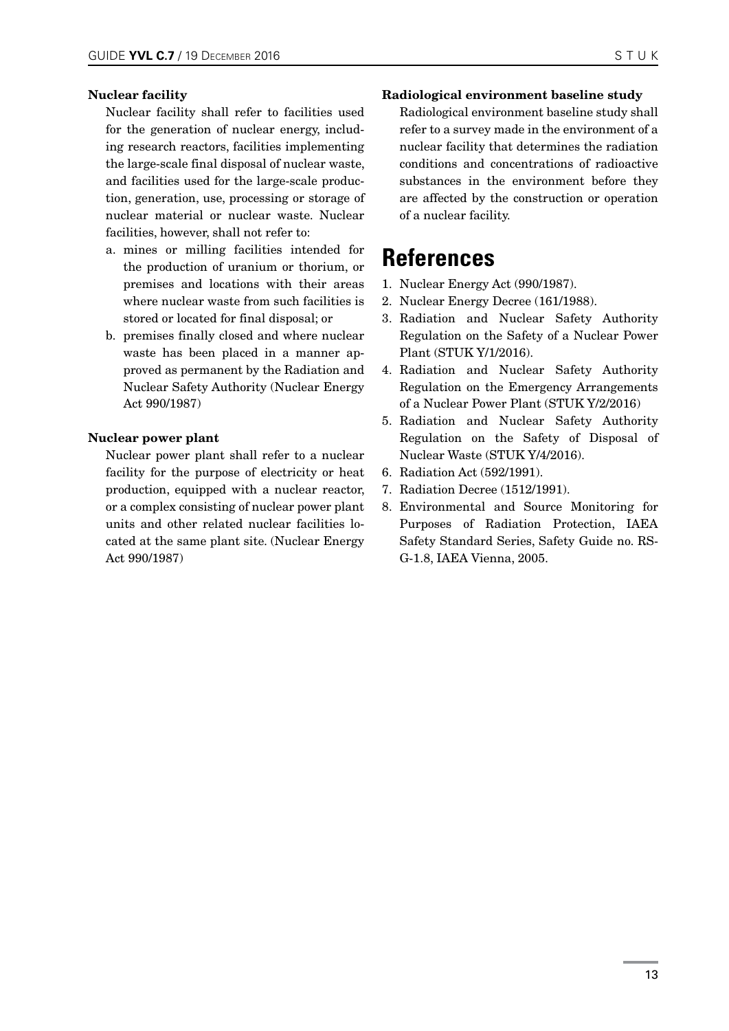#### Nuclear facility

Nuclear facility shall refer to facilities used for the generation of nuclear energy, including research reactors, facilities implementing the large-scale final disposal of nuclear waste, and facilities used for the large-scale production, generation, use, processing or storage of nuclear material or nuclear waste. Nuclear facilities, however, shall not refer to:

- a. mines or milling facilities intended for the production of uranium or thorium, or premises and locations with their areas where nuclear waste from such facilities is stored or located for final disposal; or
- b. premises finally closed and where nuclear waste has been placed in a manner approved as permanent by the Radiation and Nuclear Safety Authority (Nuclear Energy Act 990/1987)

### Nuclear power plant

Nuclear power plant shall refer to a nuclear facility for the purpose of electricity or heat production, equipped with a nuclear reactor, or a complex consisting of nuclear power plant units and other related nuclear facilities located at the same plant site. (Nuclear Energy Act 990/1987)

#### Radiological environment baseline study

Radiological environment baseline study shall refer to a survey made in the environment of a nuclear facility that determines the radiation conditions and concentrations of radioactive substances in the environment before they are affected by the construction or operation of a nuclear facility.

### **References**

- 1. Nuclear Energy Act (990/1987).
- 2. Nuclear Energy Decree (161/1988).
- 3. Radiation and Nuclear Safety Authority Regulation on the Safety of a Nuclear Power Plant (STUK Y/1/2016).
- 4. Radiation and Nuclear Safety Authority Regulation on the Emergency Arrangements of a Nuclear Power Plant (STUK Y/2/2016)
- 5. Radiation and Nuclear Safety Authority Regulation on the Safety of Disposal of Nuclear Waste (STUK Y/4/2016).
- 6. Radiation Act (592/1991).
- 7. Radiation Decree (1512/1991).
- 8. Environmental and Source Monitoring for Purposes of Radiation Protection, IAEA Safety Standard Series, Safety Guide no. RS-G-1.8, IAEA Vienna, 2005.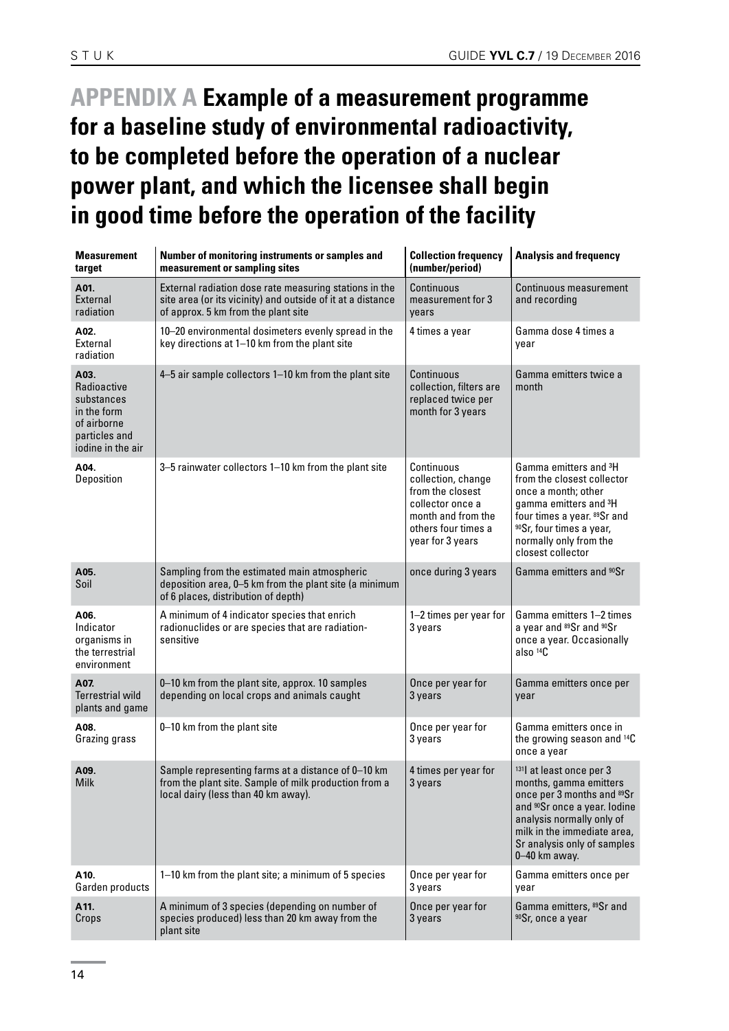# <span id="page-13-0"></span>**APPENDIX A Example of a measurement programme for a baseline study of environmental radioactivity, to be completed before the operation of a nuclear power plant, and which the licensee shall begin in good time before the operation of the facility**

| <b>Measurement</b><br>target                                                                          | Number of monitoring instruments or samples and<br>measurement or sampling sites                                                                             | <b>Collection frequency</b><br>(number/period)                                                                                            | <b>Analysis and frequency</b>                                                                                                                                                                                                                     |
|-------------------------------------------------------------------------------------------------------|--------------------------------------------------------------------------------------------------------------------------------------------------------------|-------------------------------------------------------------------------------------------------------------------------------------------|---------------------------------------------------------------------------------------------------------------------------------------------------------------------------------------------------------------------------------------------------|
| A01.<br>External<br>radiation                                                                         | External radiation dose rate measuring stations in the<br>site area (or its vicinity) and outside of it at a distance<br>of approx. 5 km from the plant site | Continuous<br>measurement for 3<br>vears                                                                                                  | <b>Continuous measurement</b><br>and recording                                                                                                                                                                                                    |
| A02.<br>External<br>radiation                                                                         | 10-20 environmental dosimeters evenly spread in the<br>key directions at 1-10 km from the plant site                                                         | 4 times a year                                                                                                                            | Gamma dose 4 times a<br>year                                                                                                                                                                                                                      |
| A03.<br>Radioactive<br>substances<br>in the form<br>of airborne<br>particles and<br>iodine in the air | 4-5 air sample collectors 1-10 km from the plant site                                                                                                        | Continuous<br>collection, filters are<br>replaced twice per<br>month for 3 years                                                          | Gamma emitters twice a<br>month                                                                                                                                                                                                                   |
| A04.<br>Deposition                                                                                    | 3-5 rainwater collectors 1-10 km from the plant site                                                                                                         | Continuous<br>collection, change<br>from the closest<br>collector once a<br>month and from the<br>others four times a<br>year for 3 years | Gamma emitters and <sup>3</sup> H<br>from the closest collector<br>once a month; other<br>gamma emitters and <sup>3</sup> H<br>four times a year. 89Sr and<br><sup>90</sup> Sr, four times a year,<br>normally only from the<br>closest collector |
| A05.<br>Soil                                                                                          | Sampling from the estimated main atmospheric<br>deposition area, 0-5 km from the plant site (a minimum<br>of 6 places, distribution of depth)                | once during 3 years                                                                                                                       | Gamma emitters and <sup>90</sup> Sr                                                                                                                                                                                                               |
| A06.<br>Indicator<br>organisms in<br>the terrestrial<br>environment                                   | A minimum of 4 indicator species that enrich<br>radionuclides or are species that are radiation-<br>sensitive                                                | 1-2 times per year for<br>3 years                                                                                                         | Gamma emitters 1-2 times<br>a year and 89Sr and 90Sr<br>once a year. Occasionally<br>also <sup>14</sup> C                                                                                                                                         |
| A07.<br><b>Terrestrial wild</b><br>plants and game                                                    | 0-10 km from the plant site, approx. 10 samples<br>depending on local crops and animals caught                                                               | Once per year for<br>3 years                                                                                                              | Gamma emitters once per<br>year                                                                                                                                                                                                                   |
| A08.<br>Grazing grass                                                                                 | 0-10 km from the plant site                                                                                                                                  | Once per year for<br>3 years                                                                                                              | Gamma emitters once in<br>the growing season and 14C<br>once a year                                                                                                                                                                               |
| A09.<br><b>Milk</b>                                                                                   | Sample representing farms at a distance of 0-10 km<br>from the plant site. Sample of milk production from a<br>local dairy (less than 40 km away).           | 4 times per year for<br>3 years                                                                                                           | 131 at least once per 3<br>months, gamma emitters<br>once per 3 months and 89Sr<br>and <sup>90</sup> Sr once a year. Iodine<br>analysis normally only of<br>milk in the immediate area,<br>Sr analysis only of samples<br>0-40 km away.           |
| A10.<br>Garden products                                                                               | 1-10 km from the plant site; a minimum of 5 species                                                                                                          | Once per year for<br>3 years                                                                                                              | Gamma emitters once per<br>year                                                                                                                                                                                                                   |
| A11.<br>Crops                                                                                         | A minimum of 3 species (depending on number of<br>species produced) less than 20 km away from the<br>plant site                                              | Once per year for<br>3 years                                                                                                              | Gamma emitters, 89Sr and<br>90Sr, once a year                                                                                                                                                                                                     |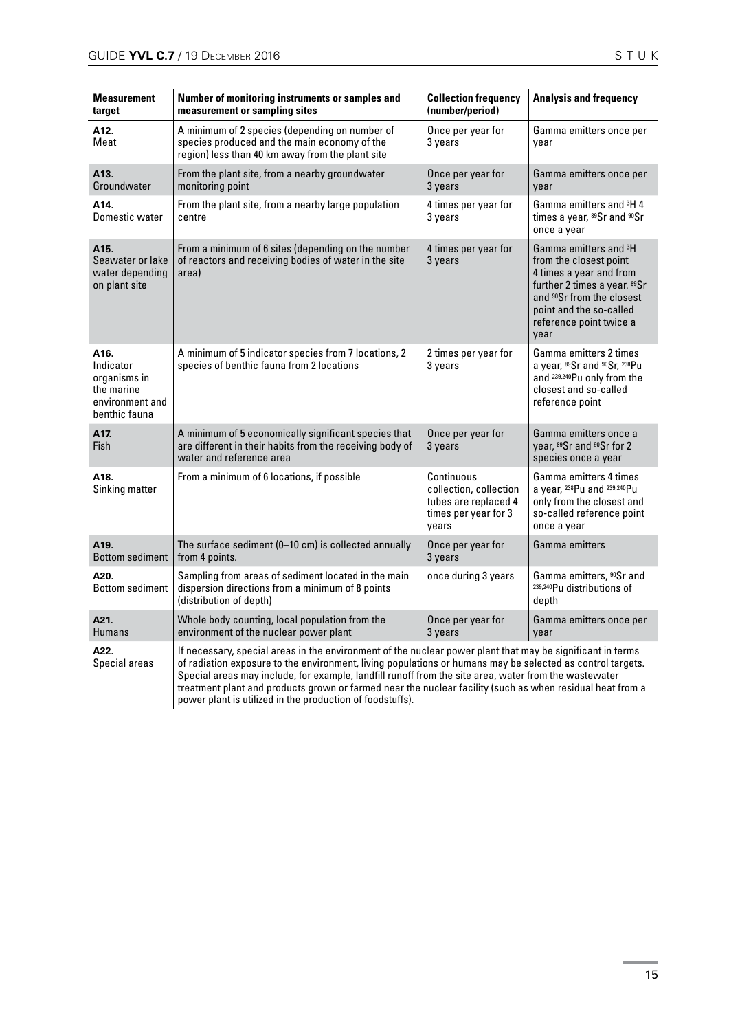| <b>Measurement</b><br>target                                                        | Number of monitoring instruments or samples and<br>measurement or sampling sites                                                                                                                                                                                                                                                  | <b>Collection frequency</b><br>(number/period)                                                | <b>Analysis and frequency</b>                                                                                                                                                                                                 |
|-------------------------------------------------------------------------------------|-----------------------------------------------------------------------------------------------------------------------------------------------------------------------------------------------------------------------------------------------------------------------------------------------------------------------------------|-----------------------------------------------------------------------------------------------|-------------------------------------------------------------------------------------------------------------------------------------------------------------------------------------------------------------------------------|
| A12.<br>Meat                                                                        | A minimum of 2 species (depending on number of<br>species produced and the main economy of the<br>region) less than 40 km away from the plant site                                                                                                                                                                                | Once per year for<br>3 years                                                                  | Gamma emitters once per<br>year                                                                                                                                                                                               |
| A13.<br>Groundwater                                                                 | From the plant site, from a nearby groundwater<br>monitoring point                                                                                                                                                                                                                                                                | Once per year for<br>3 years                                                                  | Gamma emitters once per<br>year                                                                                                                                                                                               |
| A14.<br>Domestic water                                                              | From the plant site, from a nearby large population<br>centre                                                                                                                                                                                                                                                                     | 4 times per year for<br>3 years                                                               | Gamma emitters and <sup>3</sup> H 4<br>times a year, 89Sr and 90Sr<br>once a year                                                                                                                                             |
| A15.<br>Seawater or lake<br>water depending<br>on plant site                        | From a minimum of 6 sites (depending on the number<br>of reactors and receiving bodies of water in the site<br>area)                                                                                                                                                                                                              | 4 times per year for<br>3 years                                                               | Gamma emitters and <sup>3</sup> H<br>from the closest point<br>4 times a year and from<br>further 2 times a year. 89Sr<br>and <sup>90</sup> Sr from the closest<br>point and the so-called<br>reference point twice a<br>year |
| A16.<br>Indicator<br>organisms in<br>the marine<br>environment and<br>benthic fauna | A minimum of 5 indicator species from 7 locations, 2<br>species of benthic fauna from 2 locations                                                                                                                                                                                                                                 | 2 times per year for<br>3 years                                                               | Gamma emitters 2 times<br>a year, 89Sr and 90Sr, 238Pu<br>and 239,240 Pu only from the<br>closest and so-called<br>reference point                                                                                            |
| A17.<br>Fish                                                                        | A minimum of 5 economically significant species that<br>are different in their habits from the receiving body of<br>water and reference area                                                                                                                                                                                      | Once per year for<br>3 years                                                                  | Gamma emitters once a<br>year, 89Sr and 90Sr for 2<br>species once a year                                                                                                                                                     |
| A18.<br>Sinking matter                                                              | From a minimum of 6 locations, if possible                                                                                                                                                                                                                                                                                        | Continuous<br>collection, collection<br>tubes are replaced 4<br>times per year for 3<br>vears | Gamma emitters 4 times<br>a year, 238Pu and 239,240Pu<br>only from the closest and<br>so-called reference point<br>once a year                                                                                                |
| A <sub>19</sub> .<br><b>Bottom sediment</b>                                         | The surface sediment (0-10 cm) is collected annually<br>from 4 points.                                                                                                                                                                                                                                                            | Once per year for<br>3 years                                                                  | Gamma emitters                                                                                                                                                                                                                |
| A20.<br><b>Bottom sediment</b>                                                      | Sampling from areas of sediment located in the main<br>dispersion directions from a minimum of 8 points<br>(distribution of depth)                                                                                                                                                                                                | once during 3 years                                                                           | Gamma emitters, <sup>90</sup> Sr and<br>239,240 Pu distributions of<br>depth                                                                                                                                                  |
| A21.<br><b>Humans</b>                                                               | Whole body counting, local population from the<br>environment of the nuclear power plant                                                                                                                                                                                                                                          | Once per year for<br>3 years                                                                  | Gamma emitters once per<br>year                                                                                                                                                                                               |
| A22.<br>Special areas                                                               | If necessary, special areas in the environment of the nuclear power plant that may be significant in terms<br>of radiation exposure to the environment, living populations or humans may be selected as control targets.<br>Special areas may include, for example, landfill runoff from the site area, water from the wastewater |                                                                                               |                                                                                                                                                                                                                               |

treatment plant and products grown or farmed near the nuclear facility (such as when residual heat from a power plant is utilized in the production of foodstuffs).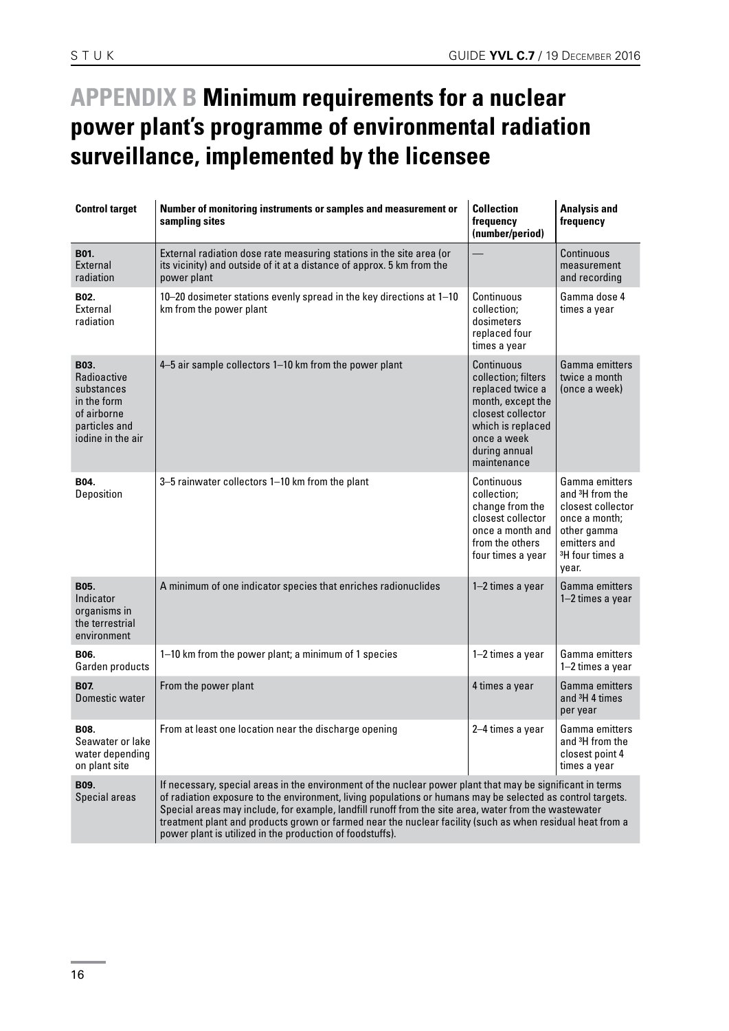# <span id="page-15-0"></span>**APPENDIX B Minimum requirements for a nuclear power plant's programme of environmental radiation surveillance, implemented by the licensee**

| <b>Control target</b>                                                                                 | Number of monitoring instruments or samples and measurement or<br>sampling sites                                                                                                                                                                                                                                                                                                                                                                                                                            | <b>Collection</b><br>frequency<br>(number/period)                                                                                                                   | <b>Analysis and</b><br>frequency                                                                                                                           |
|-------------------------------------------------------------------------------------------------------|-------------------------------------------------------------------------------------------------------------------------------------------------------------------------------------------------------------------------------------------------------------------------------------------------------------------------------------------------------------------------------------------------------------------------------------------------------------------------------------------------------------|---------------------------------------------------------------------------------------------------------------------------------------------------------------------|------------------------------------------------------------------------------------------------------------------------------------------------------------|
| B01.<br>External<br>radiation                                                                         | External radiation dose rate measuring stations in the site area (or<br>its vicinity) and outside of it at a distance of approx. 5 km from the<br>power plant                                                                                                                                                                                                                                                                                                                                               |                                                                                                                                                                     | Continuous<br>measurement<br>and recording                                                                                                                 |
| B02.<br>External<br>radiation                                                                         | 10–20 dosimeter stations evenly spread in the key directions at 1–10<br>km from the power plant                                                                                                                                                                                                                                                                                                                                                                                                             | Continuous<br>collection:<br>dosimeters<br>replaced four<br>times a year                                                                                            | Gamma dose 4<br>times a year                                                                                                                               |
| B03.<br>Radioactive<br>substances<br>in the form<br>of airborne<br>particles and<br>iodine in the air | 4-5 air sample collectors 1-10 km from the power plant                                                                                                                                                                                                                                                                                                                                                                                                                                                      | Continuous<br>collection; filters<br>replaced twice a<br>month, except the<br>closest collector<br>which is replaced<br>once a week<br>during annual<br>maintenance | Gamma emitters<br>twice a month<br>(once a week)                                                                                                           |
| B04.<br>Deposition                                                                                    | 3-5 rainwater collectors 1-10 km from the plant                                                                                                                                                                                                                                                                                                                                                                                                                                                             | Continuous<br>collection;<br>change from the<br>closest collector<br>once a month and<br>from the others<br>four times a year                                       | Gamma emitters<br>and <sup>3</sup> H from the<br>closest collector<br>once a month;<br>other gamma<br>emitters and<br><sup>3</sup> H four times a<br>year. |
| <b>B05.</b><br>Indicator<br>organisms in<br>the terrestrial<br>environment                            | A minimum of one indicator species that enriches radionuclides                                                                                                                                                                                                                                                                                                                                                                                                                                              | 1-2 times a year                                                                                                                                                    | Gamma emitters<br>1–2 times a year                                                                                                                         |
| B06.<br>Garden products                                                                               | 1–10 km from the power plant; a minimum of 1 species                                                                                                                                                                                                                                                                                                                                                                                                                                                        | 1-2 times a year                                                                                                                                                    | Gamma emitters<br>1-2 times a year                                                                                                                         |
| B07.<br>Domestic water                                                                                | From the power plant                                                                                                                                                                                                                                                                                                                                                                                                                                                                                        | 4 times a year                                                                                                                                                      | Gamma emitters<br>and <sup>3</sup> H 4 times<br>per year                                                                                                   |
| <b>B08.</b><br>Seawater or lake<br>water depending<br>on plant site                                   | From at least one location near the discharge opening                                                                                                                                                                                                                                                                                                                                                                                                                                                       | 2–4 times a year                                                                                                                                                    | Gamma emitters<br>and <sup>3</sup> H from the<br>closest point 4<br>times a year                                                                           |
| B09.<br>Special areas                                                                                 | If necessary, special areas in the environment of the nuclear power plant that may be significant in terms<br>of radiation exposure to the environment, living populations or humans may be selected as control targets.<br>Special areas may include, for example, landfill runoff from the site area, water from the wastewater<br>treatment plant and products grown or farmed near the nuclear facility (such as when residual heat from a<br>power plant is utilized in the production of foodstuffs). |                                                                                                                                                                     |                                                                                                                                                            |